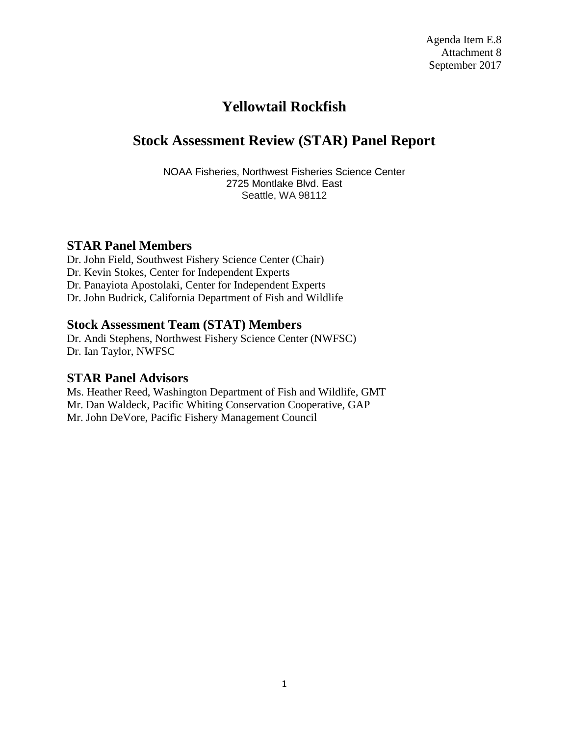# **Yellowtail Rockfish**

# **Stock Assessment Review (STAR) Panel Report**

NOAA Fisheries, Northwest Fisheries Science Center 2725 Montlake Blvd. East Seattle, WA 98112

### **STAR Panel Members**

Dr. John Field, Southwest Fishery Science Center (Chair) Dr. Kevin Stokes, Center for Independent Experts Dr. Panayiota Apostolaki, Center for Independent Experts Dr. John Budrick, California Department of Fish and Wildlife

### **Stock Assessment Team (STAT) Members**

Dr. Andi Stephens, Northwest Fishery Science Center (NWFSC) Dr. Ian Taylor, NWFSC

# **STAR Panel Advisors**

Ms. Heather Reed, Washington Department of Fish and Wildlife, GMT Mr. Dan Waldeck, Pacific Whiting Conservation Cooperative, GAP Mr. John DeVore, Pacific Fishery Management Council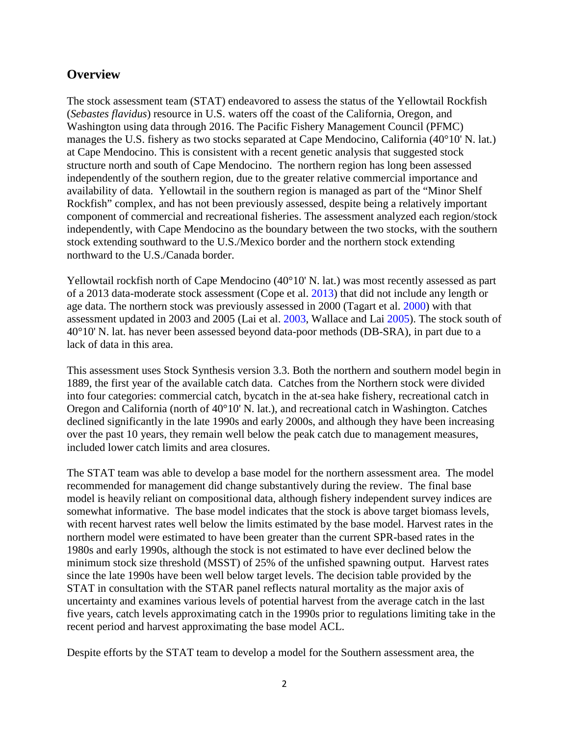### **Overview**

The stock assessment team (STAT) endeavored to assess the status of the Yellowtail Rockfish (*Sebastes flavidus*) resource in U.S. waters off the coast of the California, Oregon, and Washington using data through 2016. The Pacific Fishery Management Council (PFMC) manages the U.S. fishery as two stocks separated at Cape Mendocino, California (40°10' N. lat.) at Cape Mendocino. This is consistent with a recent genetic analysis that suggested stock structure north and south of Cape Mendocino. The northern region has long been assessed independently of the southern region, due to the greater relative commercial importance and availability of data. Yellowtail in the southern region is managed as part of the "Minor Shelf Rockfish" complex, and has not been previously assessed, despite being a relatively important component of commercial and recreational fisheries. The assessment analyzed each region/stock independently, with Cape Mendocino as the boundary between the two stocks, with the southern stock extending southward to the U.S./Mexico border and the northern stock extending northward to the U.S./Canada border.

Yellowtail rockfish north of Cape Mendocino (40°10' N. lat.) was most recently assessed as part of a 2013 data-moderate stock assessment (Cope et al. 2013) that did not include any length or age data. The northern stock was previously assessed in 2000 (Tagart et al. 2000) with that assessment updated in 2003 and 2005 (Lai et al. 2003, Wallace and Lai 2005). The stock south of 40°10' N. lat. has never been assessed beyond data-poor methods (DB-SRA), in part due to a lack of data in this area.

This assessment uses Stock Synthesis version 3.3. Both the northern and southern model begin in 1889, the first year of the available catch data. Catches from the Northern stock were divided into four categories: commercial catch, bycatch in the at-sea hake fishery, recreational catch in Oregon and California (north of 40°10' N. lat.), and recreational catch in Washington. Catches declined significantly in the late 1990s and early 2000s, and although they have been increasing over the past 10 years, they remain well below the peak catch due to management measures, included lower catch limits and area closures.

The STAT team was able to develop a base model for the northern assessment area. The model recommended for management did change substantively during the review. The final base model is heavily reliant on compositional data, although fishery independent survey indices are somewhat informative. The base model indicates that the stock is above target biomass levels, with recent harvest rates well below the limits estimated by the base model. Harvest rates in the northern model were estimated to have been greater than the current SPR-based rates in the 1980s and early 1990s, although the stock is not estimated to have ever declined below the minimum stock size threshold (MSST) of 25% of the unfished spawning output. Harvest rates since the late 1990s have been well below target levels. The decision table provided by the STAT in consultation with the STAR panel reflects natural mortality as the major axis of uncertainty and examines various levels of potential harvest from the average catch in the last five years, catch levels approximating catch in the 1990s prior to regulations limiting take in the recent period and harvest approximating the base model ACL.

Despite efforts by the STAT team to develop a model for the Southern assessment area, the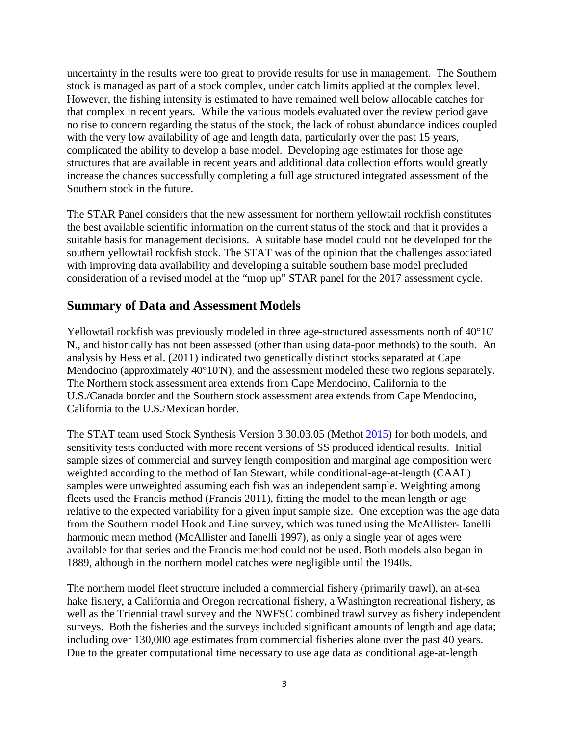uncertainty in the results were too great to provide results for use in management. The Southern stock is managed as part of a stock complex, under catch limits applied at the complex level. However, the fishing intensity is estimated to have remained well below allocable catches for that complex in recent years. While the various models evaluated over the review period gave no rise to concern regarding the status of the stock, the lack of robust abundance indices coupled with the very low availability of age and length data, particularly over the past 15 years, complicated the ability to develop a base model. Developing age estimates for those age structures that are available in recent years and additional data collection efforts would greatly increase the chances successfully completing a full age structured integrated assessment of the Southern stock in the future.

The STAR Panel considers that the new assessment for northern yellowtail rockfish constitutes the best available scientific information on the current status of the stock and that it provides a suitable basis for management decisions. A suitable base model could not be developed for the southern yellowtail rockfish stock. The STAT was of the opinion that the challenges associated with improving data availability and developing a suitable southern base model precluded consideration of a revised model at the "mop up" STAR panel for the 2017 assessment cycle.

### **Summary of Data and Assessment Models**

Yellowtail rockfish was previously modeled in three age-structured assessments north of 40°10' N., and historically has not been assessed (other than using data-poor methods) to the south. An analysis by Hess et al. (2011) indicated two genetically distinct stocks separated at Cape Mendocino (approximately 40°10'N), and the assessment modeled these two regions separately. The Northern stock assessment area extends from Cape Mendocino, California to the U.S./Canada border and the Southern stock assessment area extends from Cape Mendocino, California to the U.S./Mexican border.

The STAT team used Stock Synthesis Version 3.30.03.05 (Methot 2015) for both models, and sensitivity tests conducted with more recent versions of SS produced identical results. Initial sample sizes of commercial and survey length composition and marginal age composition were weighted according to the method of Ian Stewart, while conditional-age-at-length (CAAL) samples were unweighted assuming each fish was an independent sample. Weighting among fleets used the Francis method (Francis 2011), fitting the model to the mean length or age relative to the expected variability for a given input sample size. One exception was the age data from the Southern model Hook and Line survey, which was tuned using the McAllister- Ianelli harmonic mean method (McAllister and Ianelli 1997), as only a single year of ages were available for that series and the Francis method could not be used. Both models also began in 1889, although in the northern model catches were negligible until the 1940s.

The northern model fleet structure included a commercial fishery (primarily trawl), an at-sea hake fishery, a California and Oregon recreational fishery, a Washington recreational fishery, as well as the Triennial trawl survey and the NWFSC combined trawl survey as fishery independent surveys. Both the fisheries and the surveys included significant amounts of length and age data; including over 130,000 age estimates from commercial fisheries alone over the past 40 years. Due to the greater computational time necessary to use age data as conditional age-at-length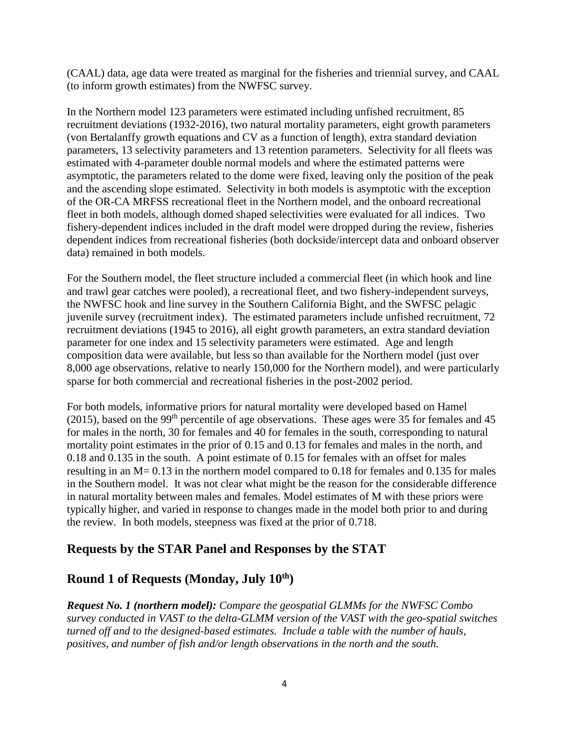(CAAL) data, age data were treated as marginal for the fisheries and triennial survey, and CAAL (to inform growth estimates) from the NWFSC survey.

In the Northern model 123 parameters were estimated including unfished recruitment, 85 recruitment deviations (1932-2016), two natural mortality parameters, eight growth parameters (von Bertalanffy growth equations and CV as a function of length), extra standard deviation parameters, 13 selectivity parameters and 13 retention parameters. Selectivity for all fleets was estimated with 4-parameter double normal models and where the estimated patterns were asymptotic, the parameters related to the dome were fixed, leaving only the position of the peak and the ascending slope estimated. Selectivity in both models is asymptotic with the exception of the OR-CA MRFSS recreational fleet in the Northern model, and the onboard recreational fleet in both models, although domed shaped selectivities were evaluated for all indices. Two fishery-dependent indices included in the draft model were dropped during the review, fisheries dependent indices from recreational fisheries (both dockside/intercept data and onboard observer data) remained in both models.

For the Southern model, the fleet structure included a commercial fleet (in which hook and line and trawl gear catches were pooled), a recreational fleet, and two fishery-independent surveys, the NWFSC hook and line survey in the Southern California Bight, and the SWFSC pelagic juvenile survey (recruitment index). The estimated parameters include unfished recruitment, 72 recruitment deviations (1945 to 2016), all eight growth parameters, an extra standard deviation parameter for one index and 15 selectivity parameters were estimated. Age and length composition data were available, but less so than available for the Northern model (just over 8,000 age observations, relative to nearly 150,000 for the Northern model), and were particularly sparse for both commercial and recreational fisheries in the post-2002 period.

For both models, informative priors for natural mortality were developed based on Hamel (2015), based on the 99<sup>th</sup> percentile of age observations. These ages were 35 for females and 45 for males in the north, 30 for females and 40 for females in the south, corresponding to natural mortality point estimates in the prior of 0.15 and 0.13 for females and males in the north, and 0.18 and 0.135 in the south. A point estimate of 0.15 for females with an offset for males resulting in an M= 0.13 in the northern model compared to 0.18 for females and 0.135 for males in the Southern model. It was not clear what might be the reason for the considerable difference in natural mortality between males and females. Model estimates of M with these priors were typically higher, and varied in response to changes made in the model both prior to and during the review. In both models, steepness was fixed at the prior of 0.718.

# **Requests by the STAR Panel and Responses by the STAT**

# **Round 1 of Requests (Monday, July 10th)**

*Request No. 1 (northern model): Compare the geospatial GLMMs for the NWFSC Combo survey conducted in VAST to the delta-GLMM version of the VAST with the geo-spatial switches turned off and to the designed-based estimates. Include a table with the number of hauls, positives, and number of fish and/or length observations in the north and the south.*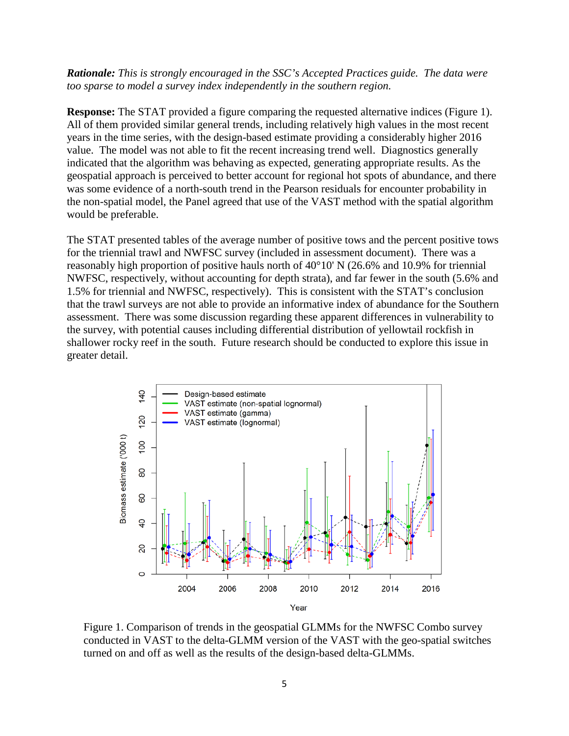*Rationale: This is strongly encouraged in the SSC's Accepted Practices guide. The data were too sparse to model a survey index independently in the southern region.*

**Response:** The STAT provided a figure comparing the requested alternative indices (Figure 1). All of them provided similar general trends, including relatively high values in the most recent years in the time series, with the design-based estimate providing a considerably higher 2016 value. The model was not able to fit the recent increasing trend well. Diagnostics generally indicated that the algorithm was behaving as expected, generating appropriate results. As the geospatial approach is perceived to better account for regional hot spots of abundance, and there was some evidence of a north-south trend in the Pearson residuals for encounter probability in the non-spatial model, the Panel agreed that use of the VAST method with the spatial algorithm would be preferable.

The STAT presented tables of the average number of positive tows and the percent positive tows for the triennial trawl and NWFSC survey (included in assessment document). There was a reasonably high proportion of positive hauls north of 40°10' N (26.6% and 10.9% for triennial NWFSC, respectively, without accounting for depth strata), and far fewer in the south (5.6% and 1.5% for triennial and NWFSC, respectively). This is consistent with the STAT's conclusion that the trawl surveys are not able to provide an informative index of abundance for the Southern assessment. There was some discussion regarding these apparent differences in vulnerability to the survey, with potential causes including differential distribution of yellowtail rockfish in shallower rocky reef in the south. Future research should be conducted to explore this issue in greater detail.



Figure 1. Comparison of trends in the geospatial GLMMs for the NWFSC Combo survey conducted in VAST to the delta-GLMM version of the VAST with the geo-spatial switches turned on and off as well as the results of the design-based delta-GLMMs.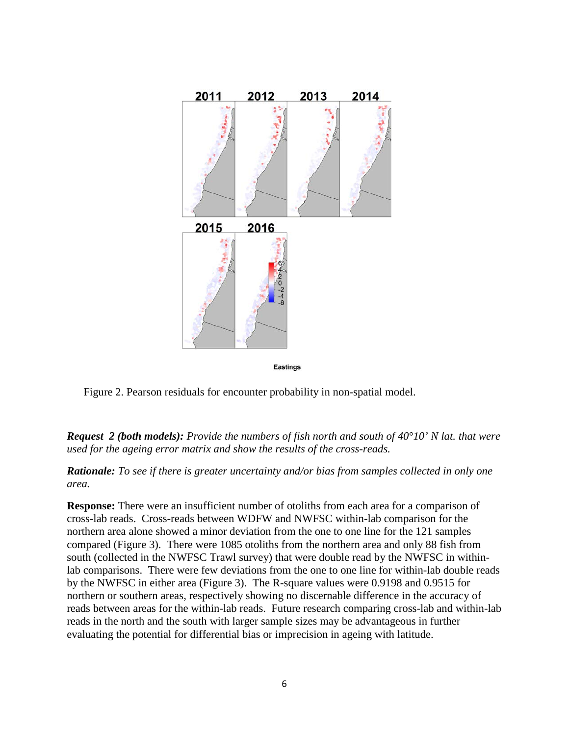

**Eastings** 

Figure 2. Pearson residuals for encounter probability in non-spatial model.

*Request 2 (both models): Provide the numbers of fish north and south of 40°10' N lat. that were used for the ageing error matrix and show the results of the cross-reads.* 

*Rationale: To see if there is greater uncertainty and/or bias from samples collected in only one area.*

**Response:** There were an insufficient number of otoliths from each area for a comparison of cross-lab reads. Cross-reads between WDFW and NWFSC within-lab comparison for the northern area alone showed a minor deviation from the one to one line for the 121 samples compared (Figure 3). There were 1085 otoliths from the northern area and only 88 fish from south (collected in the NWFSC Trawl survey) that were double read by the NWFSC in withinlab comparisons. There were few deviations from the one to one line for within-lab double reads by the NWFSC in either area (Figure 3). The R-square values were 0.9198 and 0.9515 for northern or southern areas, respectively showing no discernable difference in the accuracy of reads between areas for the within-lab reads. Future research comparing cross-lab and within-lab reads in the north and the south with larger sample sizes may be advantageous in further evaluating the potential for differential bias or imprecision in ageing with latitude.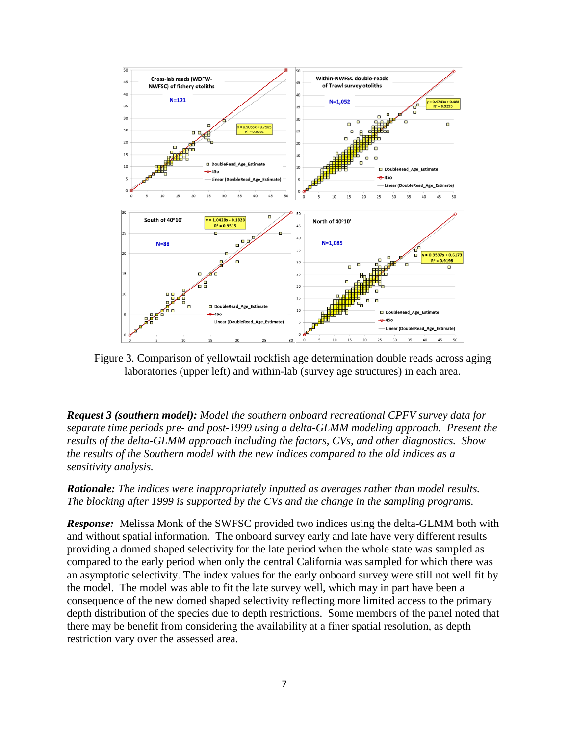

Figure 3. Comparison of yellowtail rockfish age determination double reads across aging laboratories (upper left) and within-lab (survey age structures) in each area.

*Request 3 (southern model): Model the southern onboard recreational CPFV survey data for separate time periods pre- and post-1999 using a delta-GLMM modeling approach. Present the results of the delta-GLMM approach including the factors, CVs, and other diagnostics. Show the results of the Southern model with the new indices compared to the old indices as a sensitivity analysis.* 

*Rationale: The indices were inappropriately inputted as averages rather than model results. The blocking after 1999 is supported by the CVs and the change in the sampling programs.* 

*Response:* Melissa Monk of the SWFSC provided two indices using the delta-GLMM both with and without spatial information. The onboard survey early and late have very different results providing a domed shaped selectivity for the late period when the whole state was sampled as compared to the early period when only the central California was sampled for which there was an asymptotic selectivity. The index values for the early onboard survey were still not well fit by the model. The model was able to fit the late survey well, which may in part have been a consequence of the new domed shaped selectivity reflecting more limited access to the primary depth distribution of the species due to depth restrictions. Some members of the panel noted that there may be benefit from considering the availability at a finer spatial resolution, as depth restriction vary over the assessed area.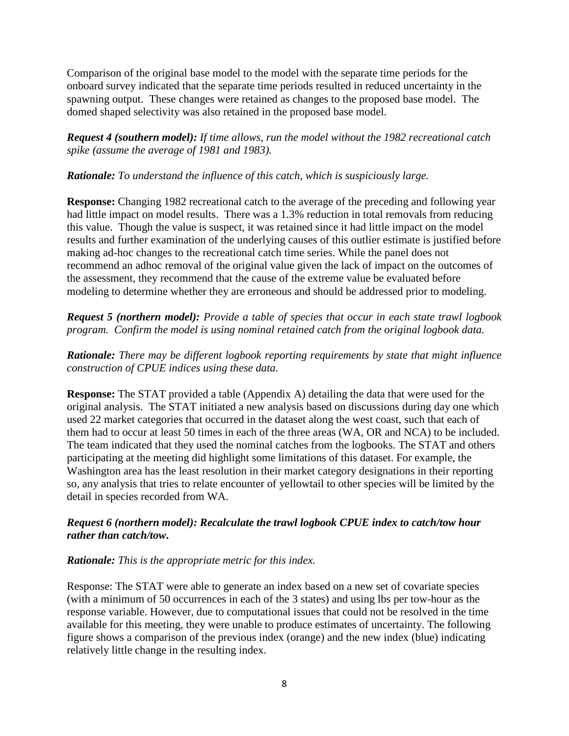Comparison of the original base model to the model with the separate time periods for the onboard survey indicated that the separate time periods resulted in reduced uncertainty in the spawning output. These changes were retained as changes to the proposed base model. The domed shaped selectivity was also retained in the proposed base model.

*Request 4 (southern model): If time allows, run the model without the 1982 recreational catch spike (assume the average of 1981 and 1983).*

#### *Rationale: To understand the influence of this catch, which is suspiciously large.*

**Response:** Changing 1982 recreational catch to the average of the preceding and following year had little impact on model results. There was a 1.3% reduction in total removals from reducing this value. Though the value is suspect, it was retained since it had little impact on the model results and further examination of the underlying causes of this outlier estimate is justified before making ad-hoc changes to the recreational catch time series. While the panel does not recommend an adhoc removal of the original value given the lack of impact on the outcomes of the assessment, they recommend that the cause of the extreme value be evaluated before modeling to determine whether they are erroneous and should be addressed prior to modeling.

*Request 5 (northern model): Provide a table of species that occur in each state trawl logbook program. Confirm the model is using nominal retained catch from the original logbook data.*

*Rationale: There may be different logbook reporting requirements by state that might influence construction of CPUE indices using these data.* 

**Response:** The STAT provided a table (Appendix A) detailing the data that were used for the original analysis. The STAT initiated a new analysis based on discussions during day one which used 22 market categories that occurred in the dataset along the west coast, such that each of them had to occur at least 50 times in each of the three areas (WA, OR and NCA) to be included. The team indicated that they used the nominal catches from the logbooks. The STAT and others participating at the meeting did highlight some limitations of this dataset. For example, the Washington area has the least resolution in their market category designations in their reporting so, any analysis that tries to relate encounter of yellowtail to other species will be limited by the detail in species recorded from WA.

#### *Request 6 (northern model): Recalculate the trawl logbook CPUE index to catch/tow hour rather than catch/tow***.**

#### *Rationale: This is the appropriate metric for this index.*

Response: The STAT were able to generate an index based on a new set of covariate species (with a minimum of 50 occurrences in each of the 3 states) and using lbs per tow-hour as the response variable. However, due to computational issues that could not be resolved in the time available for this meeting, they were unable to produce estimates of uncertainty. The following figure shows a comparison of the previous index (orange) and the new index (blue) indicating relatively little change in the resulting index.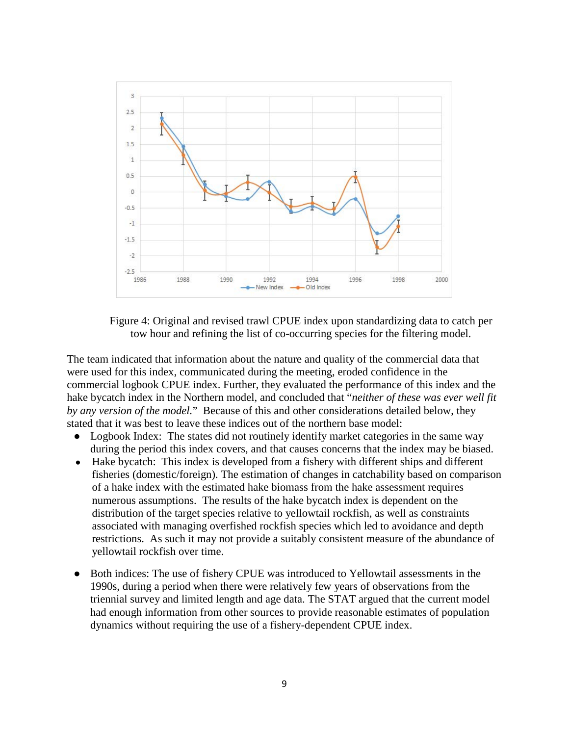

Figure 4: Original and revised trawl CPUE index upon standardizing data to catch per tow hour and refining the list of co-occurring species for the filtering model.

The team indicated that information about the nature and quality of the commercial data that were used for this index, communicated during the meeting, eroded confidence in the commercial logbook CPUE index. Further, they evaluated the performance of this index and the hake bycatch index in the Northern model, and concluded that "*neither of these was ever well fit by any version of the model.*"Because of this and other considerations detailed below, they stated that it was best to leave these indices out of the northern base model:

- Logbook Index: The states did not routinely identify market categories in the same way during the period this index covers, and that causes concerns that the index may be biased.
- Hake bycatch: This index is developed from a fishery with different ships and different fisheries (domestic/foreign). The estimation of changes in catchability based on comparison of a hake index with the estimated hake biomass from the hake assessment requires numerous assumptions. The results of the hake bycatch index is dependent on the distribution of the target species relative to yellowtail rockfish, as well as constraints associated with managing overfished rockfish species which led to avoidance and depth restrictions. As such it may not provide a suitably consistent measure of the abundance of yellowtail rockfish over time.
- Both indices: The use of fishery CPUE was introduced to Yellowtail assessments in the 1990s, during a period when there were relatively few years of observations from the triennial survey and limited length and age data. The STAT argued that the current model had enough information from other sources to provide reasonable estimates of population dynamics without requiring the use of a fishery-dependent CPUE index.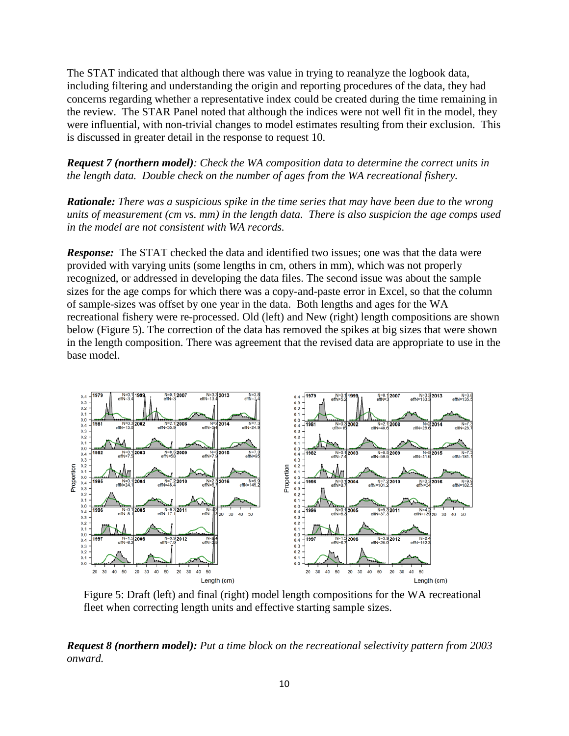The STAT indicated that although there was value in trying to reanalyze the logbook data, including filtering and understanding the origin and reporting procedures of the data, they had concerns regarding whether a representative index could be created during the time remaining in the review. The STAR Panel noted that although the indices were not well fit in the model, they were influential, with non-trivial changes to model estimates resulting from their exclusion. This is discussed in greater detail in the response to request 10.

*Request 7 (northern model): Check the WA composition data to determine the correct units in the length data. Double check on the number of ages from the WA recreational fishery.*

*Rationale: There was a suspicious spike in the time series that may have been due to the wrong units of measurement (cm vs. mm) in the length data. There is also suspicion the age comps used in the model are not consistent with WA records.*

*Response:* The STAT checked the data and identified two issues; one was that the data were provided with varying units (some lengths in cm, others in mm), which was not properly recognized, or addressed in developing the data files. The second issue was about the sample sizes for the age comps for which there was a copy-and-paste error in Excel, so that the column of sample-sizes was offset by one year in the data. Both lengths and ages for the WA recreational fishery were re-processed. Old (left) and New (right) length compositions are shown below (Figure 5). The correction of the data has removed the spikes at big sizes that were shown in the length composition. There was agreement that the revised data are appropriate to use in the base model.



Figure 5: Draft (left) and final (right) model length compositions for the WA recreational fleet when correcting length units and effective starting sample sizes.

*Request 8 (northern model): Put a time block on the recreational selectivity pattern from 2003 onward.*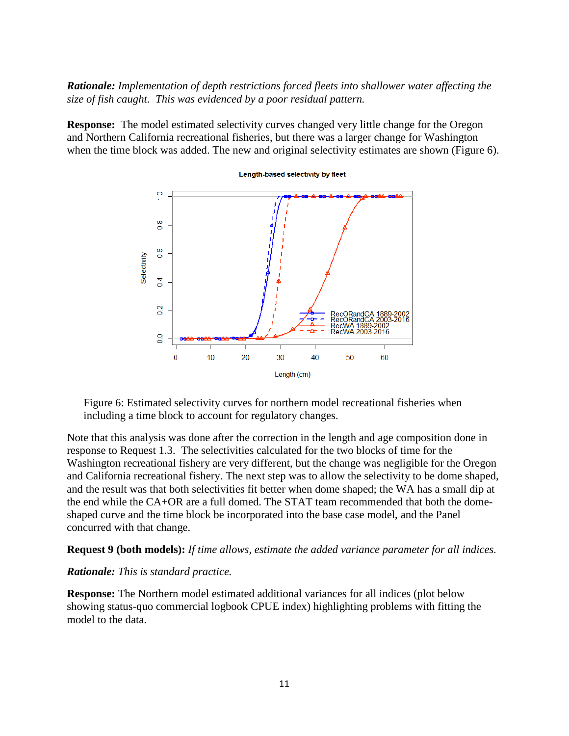*Rationale: Implementation of depth restrictions forced fleets into shallower water affecting the size of fish caught. This was evidenced by a poor residual pattern.*

**Response:** The model estimated selectivity curves changed very little change for the Oregon and Northern California recreational fisheries, but there was a larger change for Washington when the time block was added. The new and original selectivity estimates are shown (Figure 6).



Figure 6: Estimated selectivity curves for northern model recreational fisheries when including a time block to account for regulatory changes.

Note that this analysis was done after the correction in the length and age composition done in response to Request 1.3. The selectivities calculated for the two blocks of time for the Washington recreational fishery are very different, but the change was negligible for the Oregon and California recreational fishery. The next step was to allow the selectivity to be dome shaped, and the result was that both selectivities fit better when dome shaped; the WA has a small dip at the end while the CA+OR are a full domed. The STAT team recommended that both the domeshaped curve and the time block be incorporated into the base case model, and the Panel concurred with that change.

#### **Request 9 (both models):** *If time allows, estimate the added variance parameter for all indices.*

#### *Rationale: This is standard practice.*

**Response:** The Northern model estimated additional variances for all indices (plot below showing status-quo commercial logbook CPUE index) highlighting problems with fitting the model to the data.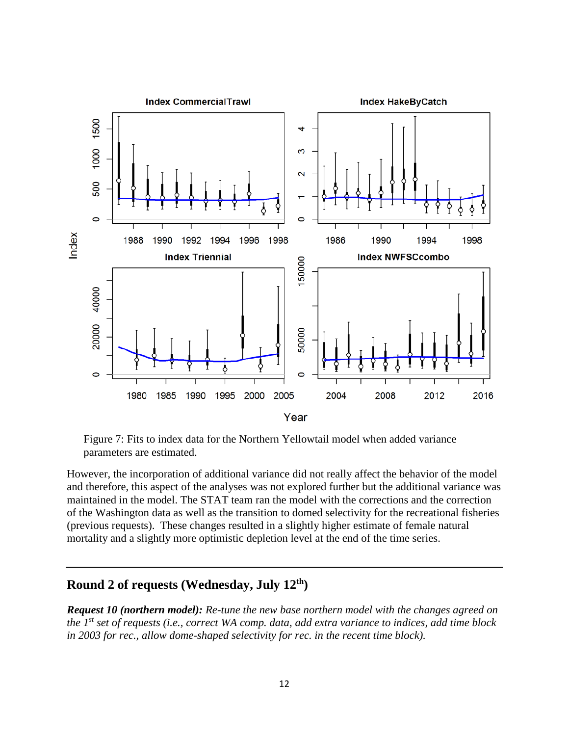

Figure 7: Fits to index data for the Northern Yellowtail model when added variance parameters are estimated.

However, the incorporation of additional variance did not really affect the behavior of the model and therefore, this aspect of the analyses was not explored further but the additional variance was maintained in the model. The STAT team ran the model with the corrections and the correction of the Washington data as well as the transition to domed selectivity for the recreational fisheries (previous requests). These changes resulted in a slightly higher estimate of female natural mortality and a slightly more optimistic depletion level at the end of the time series.

### **Round 2 of requests (Wednesday, July 12th)**

*Request 10 (northern model): Re-tune the new base northern model with the changes agreed on the 1st set of requests (i.e., correct WA comp. data, add extra variance to indices, add time block in 2003 for rec., allow dome-shaped selectivity for rec. in the recent time block).*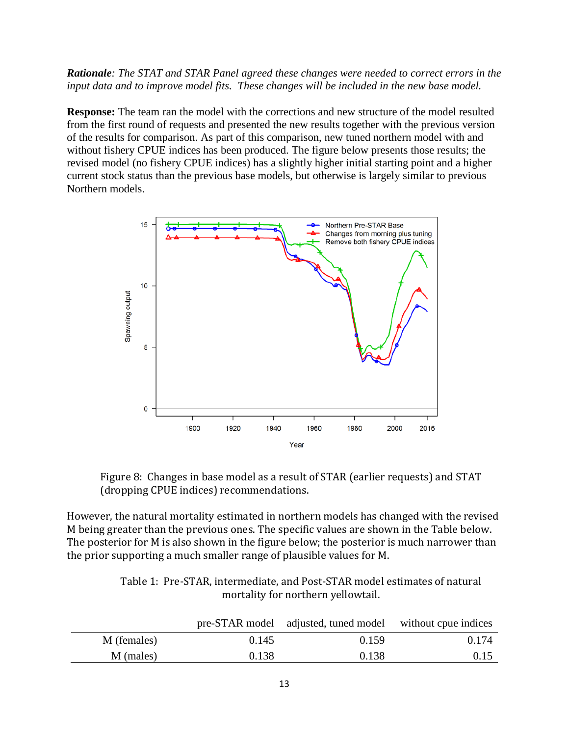*Rationale: The STAT and STAR Panel agreed these changes were needed to correct errors in the input data and to improve model fits. These changes will be included in the new base model.*

**Response:** The team ran the model with the corrections and new structure of the model resulted from the first round of requests and presented the new results together with the previous version of the results for comparison. As part of this comparison, new tuned northern model with and without fishery CPUE indices has been produced. The figure below presents those results; the revised model (no fishery CPUE indices) has a slightly higher initial starting point and a higher current stock status than the previous base models, but otherwise is largely similar to previous Northern models.



Figure 8: Changes in base model as a result of STAR (earlier requests) and STAT (dropping CPUE indices) recommendations.

However, the natural mortality estimated in northern models has changed with the revised M being greater than the previous ones. The specific values are shown in the Table below. The posterior for M is also shown in the figure below; the posterior is much narrower than the prior supporting a much smaller range of plausible values for M.

> Table 1: Pre-STAR, intermediate, and Post-STAR model estimates of natural mortality for northern yellowtail.

|             |       | pre-STAR model adjusted, tuned model without cpue indices |       |
|-------------|-------|-----------------------------------------------------------|-------|
| M (females) | 0.145 | 0.159                                                     | 0.174 |
| M (males)   | 0.138 | 0.138                                                     | 0.15  |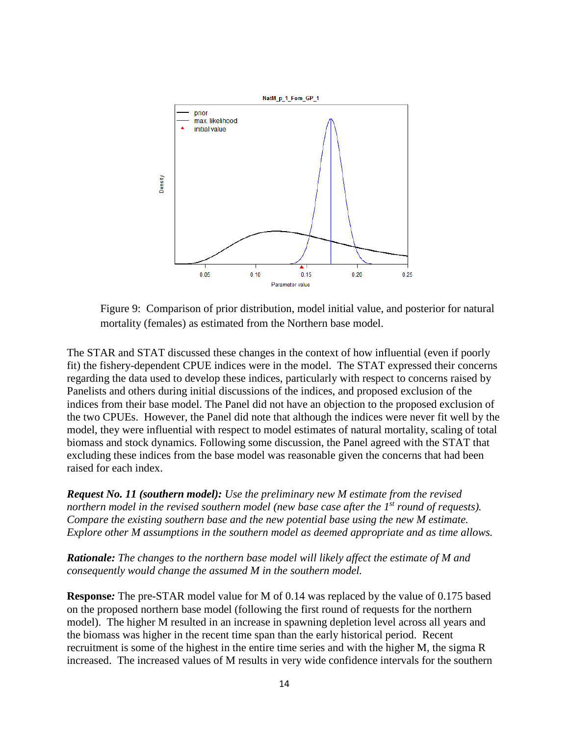

Figure 9: Comparison of prior distribution, model initial value, and posterior for natural mortality (females) as estimated from the Northern base model.

The STAR and STAT discussed these changes in the context of how influential (even if poorly fit) the fishery-dependent CPUE indices were in the model. The STAT expressed their concerns regarding the data used to develop these indices, particularly with respect to concerns raised by Panelists and others during initial discussions of the indices, and proposed exclusion of the indices from their base model. The Panel did not have an objection to the proposed exclusion of the two CPUEs. However, the Panel did note that although the indices were never fit well by the model, they were influential with respect to model estimates of natural mortality, scaling of total biomass and stock dynamics. Following some discussion, the Panel agreed with the STAT that excluding these indices from the base model was reasonable given the concerns that had been raised for each index.

*Request No. 11 (southern model): Use the preliminary new M estimate from the revised northern model in the revised southern model (new base case after the 1<sup>st</sup> round of requests). Compare the existing southern base and the new potential base using the new M estimate. Explore other M assumptions in the southern model as deemed appropriate and as time allows.*

*Rationale: The changes to the northern base model will likely affect the estimate of M and consequently would change the assumed M in the southern model.*

**Response***:* The pre-STAR model value for M of 0.14 was replaced by the value of 0.175 based on the proposed northern base model (following the first round of requests for the northern model). The higher M resulted in an increase in spawning depletion level across all years and the biomass was higher in the recent time span than the early historical period. Recent recruitment is some of the highest in the entire time series and with the higher M, the sigma R increased. The increased values of M results in very wide confidence intervals for the southern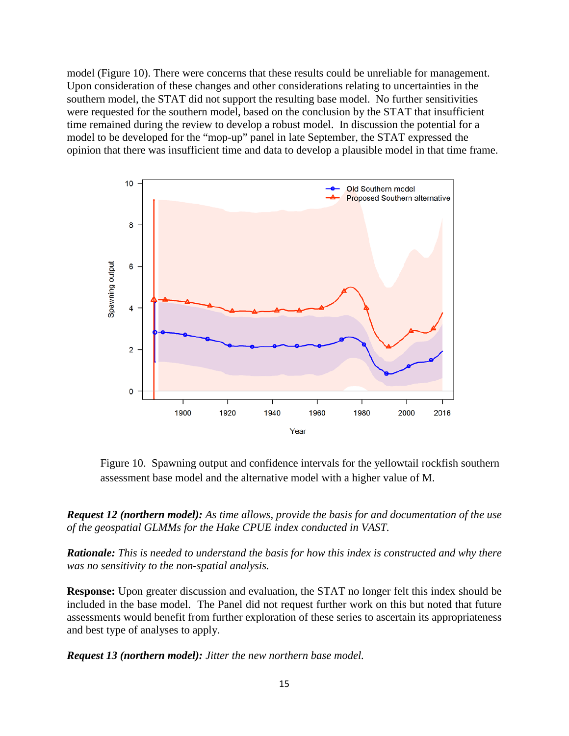model (Figure 10). There were concerns that these results could be unreliable for management. Upon consideration of these changes and other considerations relating to uncertainties in the southern model, the STAT did not support the resulting base model. No further sensitivities were requested for the southern model, based on the conclusion by the STAT that insufficient time remained during the review to develop a robust model. In discussion the potential for a model to be developed for the "mop-up" panel in late September, the STAT expressed the opinion that there was insufficient time and data to develop a plausible model in that time frame.



Figure 10. Spawning output and confidence intervals for the yellowtail rockfish southern assessment base model and the alternative model with a higher value of M.

*Request 12 (northern model): As time allows, provide the basis for and documentation of the use of the geospatial GLMMs for the Hake CPUE index conducted in VAST.* 

*Rationale: This is needed to understand the basis for how this index is constructed and why there was no sensitivity to the non-spatial analysis.* 

**Response:** Upon greater discussion and evaluation, the STAT no longer felt this index should be included in the base model. The Panel did not request further work on this but noted that future assessments would benefit from further exploration of these series to ascertain its appropriateness and best type of analyses to apply.

*Request 13 (northern model): Jitter the new northern base model.*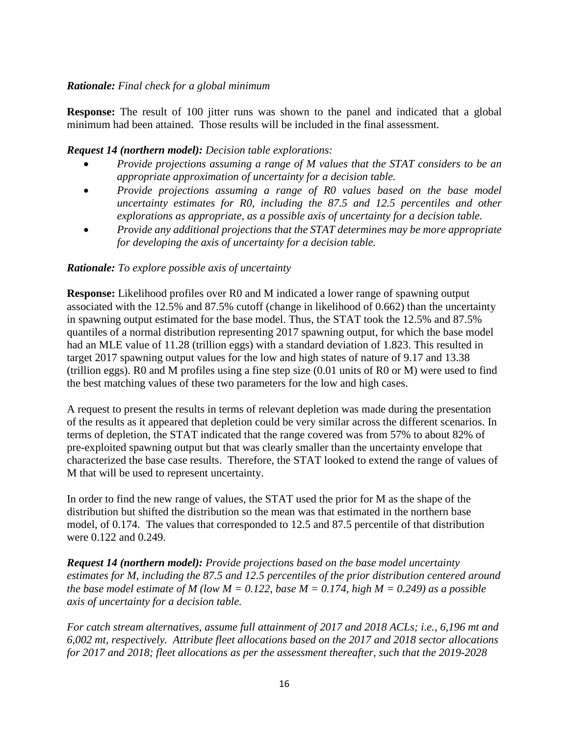#### *Rationale: Final check for a global minimum*

**Response:** The result of 100 jitter runs was shown to the panel and indicated that a global minimum had been attained. Those results will be included in the final assessment.

#### *Request 14 (northern model): Decision table explorations:*

- *Provide projections assuming a range of M values that the STAT considers to be an appropriate approximation of uncertainty for a decision table.*
- *Provide projections assuming a range of R0 values based on the base model uncertainty estimates for R0, including the 87.5 and 12.5 percentiles and other explorations as appropriate, as a possible axis of uncertainty for a decision table.*
- *Provide any additional projections that the STAT determines may be more appropriate for developing the axis of uncertainty for a decision table.*

#### *Rationale: To explore possible axis of uncertainty*

**Response:** Likelihood profiles over R0 and M indicated a lower range of spawning output associated with the 12.5% and 87.5% cutoff (change in likelihood of 0.662) than the uncertainty in spawning output estimated for the base model. Thus, the STAT took the 12.5% and 87.5% quantiles of a normal distribution representing 2017 spawning output, for which the base model had an MLE value of 11.28 (trillion eggs) with a standard deviation of 1.823. This resulted in target 2017 spawning output values for the low and high states of nature of 9.17 and 13.38 (trillion eggs). R0 and M profiles using a fine step size (0.01 units of R0 or M) were used to find the best matching values of these two parameters for the low and high cases.

A request to present the results in terms of relevant depletion was made during the presentation of the results as it appeared that depletion could be very similar across the different scenarios. In terms of depletion, the STAT indicated that the range covered was from 57% to about 82% of pre-exploited spawning output but that was clearly smaller than the uncertainty envelope that characterized the base case results. Therefore, the STAT looked to extend the range of values of M that will be used to represent uncertainty.

In order to find the new range of values, the STAT used the prior for M as the shape of the distribution but shifted the distribution so the mean was that estimated in the northern base model, of 0.174. The values that corresponded to 12.5 and 87.5 percentile of that distribution were 0.122 and 0.249.

*Request 14 (northern model): Provide projections based on the base model uncertainty estimates for M, including the 87.5 and 12.5 percentiles of the prior distribution centered around the base model estimate of M (low M = 0.122, base M = 0.174, high M = 0.249) as a possible axis of uncertainty for a decision table.* 

*For catch stream alternatives, assume full attainment of 2017 and 2018 ACLs; i.e., 6,196 mt and 6,002 mt, respectively. Attribute fleet allocations based on the 2017 and 2018 sector allocations for 2017 and 2018; fleet allocations as per the assessment thereafter, such that the 2019-2028*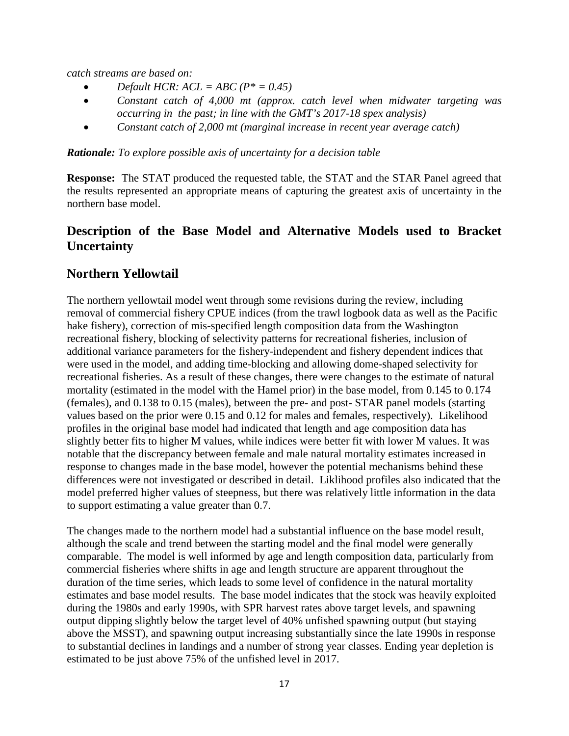*catch streams are based on:*

- *Default HCR:*  $ACL = ABC (P^* = 0.45)$
- *Constant catch of 4,000 mt (approx. catch level when midwater targeting was occurring in the past; in line with the GMT's 2017-18 spex analysis)*
- *Constant catch of 2,000 mt (marginal increase in recent year average catch)*

*Rationale: To explore possible axis of uncertainty for a decision table*

**Response:** The STAT produced the requested table, the STAT and the STAR Panel agreed that the results represented an appropriate means of capturing the greatest axis of uncertainty in the northern base model.

# **Description of the Base Model and Alternative Models used to Bracket Uncertainty**

### **Northern Yellowtail**

The northern yellowtail model went through some revisions during the review, including removal of commercial fishery CPUE indices (from the trawl logbook data as well as the Pacific hake fishery), correction of mis-specified length composition data from the Washington recreational fishery, blocking of selectivity patterns for recreational fisheries, inclusion of additional variance parameters for the fishery-independent and fishery dependent indices that were used in the model, and adding time-blocking and allowing dome-shaped selectivity for recreational fisheries. As a result of these changes, there were changes to the estimate of natural mortality (estimated in the model with the Hamel prior) in the base model, from 0.145 to 0.174 (females), and 0.138 to 0.15 (males), between the pre- and post- STAR panel models (starting values based on the prior were 0.15 and 0.12 for males and females, respectively). Likelihood profiles in the original base model had indicated that length and age composition data has slightly better fits to higher M values, while indices were better fit with lower M values. It was notable that the discrepancy between female and male natural mortality estimates increased in response to changes made in the base model, however the potential mechanisms behind these differences were not investigated or described in detail. Liklihood profiles also indicated that the model preferred higher values of steepness, but there was relatively little information in the data to support estimating a value greater than 0.7.

The changes made to the northern model had a substantial influence on the base model result, although the scale and trend between the starting model and the final model were generally comparable. The model is well informed by age and length composition data, particularly from commercial fisheries where shifts in age and length structure are apparent throughout the duration of the time series, which leads to some level of confidence in the natural mortality estimates and base model results. The base model indicates that the stock was heavily exploited during the 1980s and early 1990s, with SPR harvest rates above target levels, and spawning output dipping slightly below the target level of 40% unfished spawning output (but staying above the MSST), and spawning output increasing substantially since the late 1990s in response to substantial declines in landings and a number of strong year classes. Ending year depletion is estimated to be just above 75% of the unfished level in 2017.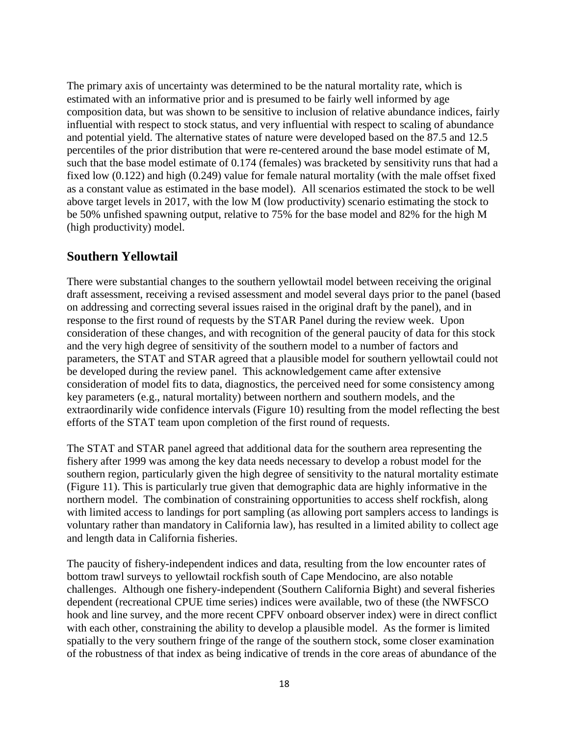The primary axis of uncertainty was determined to be the natural mortality rate, which is estimated with an informative prior and is presumed to be fairly well informed by age composition data, but was shown to be sensitive to inclusion of relative abundance indices, fairly influential with respect to stock status, and very influential with respect to scaling of abundance and potential yield. The alternative states of nature were developed based on the 87.5 and 12.5 percentiles of the prior distribution that were re-centered around the base model estimate of M, such that the base model estimate of 0.174 (females) was bracketed by sensitivity runs that had a fixed low (0.122) and high (0.249) value for female natural mortality (with the male offset fixed as a constant value as estimated in the base model). All scenarios estimated the stock to be well above target levels in 2017, with the low M (low productivity) scenario estimating the stock to be 50% unfished spawning output, relative to 75% for the base model and 82% for the high M (high productivity) model.

### **Southern Yellowtail**

There were substantial changes to the southern yellowtail model between receiving the original draft assessment, receiving a revised assessment and model several days prior to the panel (based on addressing and correcting several issues raised in the original draft by the panel), and in response to the first round of requests by the STAR Panel during the review week. Upon consideration of these changes, and with recognition of the general paucity of data for this stock and the very high degree of sensitivity of the southern model to a number of factors and parameters, the STAT and STAR agreed that a plausible model for southern yellowtail could not be developed during the review panel. This acknowledgement came after extensive consideration of model fits to data, diagnostics, the perceived need for some consistency among key parameters (e.g., natural mortality) between northern and southern models, and the extraordinarily wide confidence intervals (Figure 10) resulting from the model reflecting the best efforts of the STAT team upon completion of the first round of requests.

The STAT and STAR panel agreed that additional data for the southern area representing the fishery after 1999 was among the key data needs necessary to develop a robust model for the southern region, particularly given the high degree of sensitivity to the natural mortality estimate (Figure 11). This is particularly true given that demographic data are highly informative in the northern model. The combination of constraining opportunities to access shelf rockfish, along with limited access to landings for port sampling (as allowing port samplers access to landings is voluntary rather than mandatory in California law), has resulted in a limited ability to collect age and length data in California fisheries.

The paucity of fishery-independent indices and data, resulting from the low encounter rates of bottom trawl surveys to yellowtail rockfish south of Cape Mendocino, are also notable challenges. Although one fishery-independent (Southern California Bight) and several fisheries dependent (recreational CPUE time series) indices were available, two of these (the NWFSCO hook and line survey, and the more recent CPFV onboard observer index) were in direct conflict with each other, constraining the ability to develop a plausible model. As the former is limited spatially to the very southern fringe of the range of the southern stock, some closer examination of the robustness of that index as being indicative of trends in the core areas of abundance of the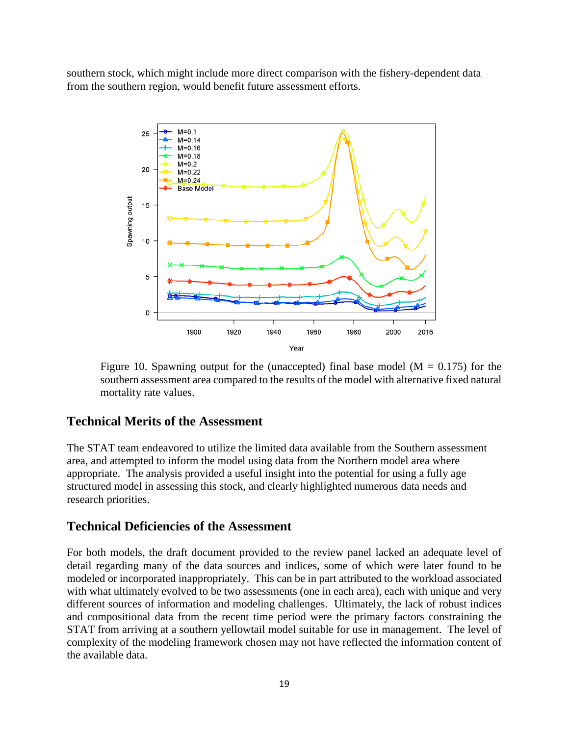southern stock, which might include more direct comparison with the fishery-dependent data from the southern region, would benefit future assessment efforts.



Figure 10. Spawning output for the (unaccepted) final base model ( $M = 0.175$ ) for the southern assessment area compared to the results of the model with alternative fixed natural mortality rate values.

### **Technical Merits of the Assessment**

The STAT team endeavored to utilize the limited data available from the Southern assessment area, and attempted to inform the model using data from the Northern model area where appropriate. The analysis provided a useful insight into the potential for using a fully age structured model in assessing this stock, and clearly highlighted numerous data needs and research priorities.

### **Technical Deficiencies of the Assessment**

For both models, the draft document provided to the review panel lacked an adequate level of detail regarding many of the data sources and indices, some of which were later found to be modeled or incorporated inappropriately. This can be in part attributed to the workload associated with what ultimately evolved to be two assessments (one in each area), each with unique and very different sources of information and modeling challenges. Ultimately, the lack of robust indices and compositional data from the recent time period were the primary factors constraining the STAT from arriving at a southern yellowtail model suitable for use in management. The level of complexity of the modeling framework chosen may not have reflected the information content of the available data.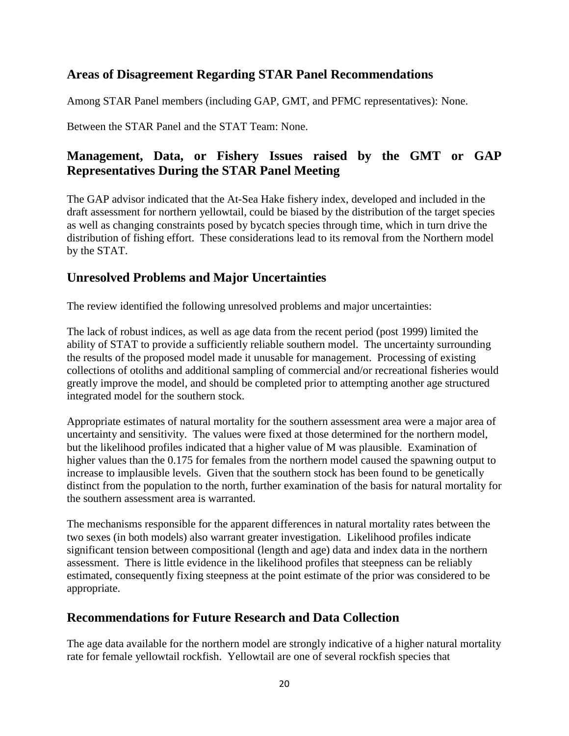# **Areas of Disagreement Regarding STAR Panel Recommendations**

Among STAR Panel members (including GAP, GMT, and PFMC representatives): None.

Between the STAR Panel and the STAT Team: None.

# **Management, Data, or Fishery Issues raised by the GMT or GAP Representatives During the STAR Panel Meeting**

The GAP advisor indicated that the At-Sea Hake fishery index, developed and included in the draft assessment for northern yellowtail, could be biased by the distribution of the target species as well as changing constraints posed by bycatch species through time, which in turn drive the distribution of fishing effort. These considerations lead to its removal from the Northern model by the STAT.

# **Unresolved Problems and Major Uncertainties**

The review identified the following unresolved problems and major uncertainties:

The lack of robust indices, as well as age data from the recent period (post 1999) limited the ability of STAT to provide a sufficiently reliable southern model. The uncertainty surrounding the results of the proposed model made it unusable for management. Processing of existing collections of otoliths and additional sampling of commercial and/or recreational fisheries would greatly improve the model, and should be completed prior to attempting another age structured integrated model for the southern stock.

Appropriate estimates of natural mortality for the southern assessment area were a major area of uncertainty and sensitivity. The values were fixed at those determined for the northern model, but the likelihood profiles indicated that a higher value of M was plausible. Examination of higher values than the 0.175 for females from the northern model caused the spawning output to increase to implausible levels. Given that the southern stock has been found to be genetically distinct from the population to the north, further examination of the basis for natural mortality for the southern assessment area is warranted.

The mechanisms responsible for the apparent differences in natural mortality rates between the two sexes (in both models) also warrant greater investigation. Likelihood profiles indicate significant tension between compositional (length and age) data and index data in the northern assessment. There is little evidence in the likelihood profiles that steepness can be reliably estimated, consequently fixing steepness at the point estimate of the prior was considered to be appropriate.

# **Recommendations for Future Research and Data Collection**

The age data available for the northern model are strongly indicative of a higher natural mortality rate for female yellowtail rockfish. Yellowtail are one of several rockfish species that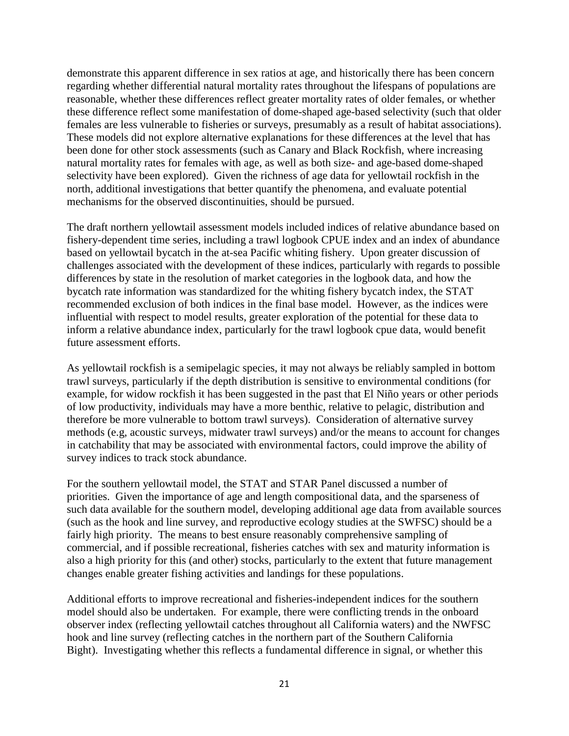demonstrate this apparent difference in sex ratios at age, and historically there has been concern regarding whether differential natural mortality rates throughout the lifespans of populations are reasonable, whether these differences reflect greater mortality rates of older females, or whether these difference reflect some manifestation of dome-shaped age-based selectivity (such that older females are less vulnerable to fisheries or surveys, presumably as a result of habitat associations). These models did not explore alternative explanations for these differences at the level that has been done for other stock assessments (such as Canary and Black Rockfish, where increasing natural mortality rates for females with age, as well as both size- and age-based dome-shaped selectivity have been explored). Given the richness of age data for yellowtail rockfish in the north, additional investigations that better quantify the phenomena, and evaluate potential mechanisms for the observed discontinuities, should be pursued.

The draft northern yellowtail assessment models included indices of relative abundance based on fishery-dependent time series, including a trawl logbook CPUE index and an index of abundance based on yellowtail bycatch in the at-sea Pacific whiting fishery. Upon greater discussion of challenges associated with the development of these indices, particularly with regards to possible differences by state in the resolution of market categories in the logbook data, and how the bycatch rate information was standardized for the whiting fishery bycatch index, the STAT recommended exclusion of both indices in the final base model. However, as the indices were influential with respect to model results, greater exploration of the potential for these data to inform a relative abundance index, particularly for the trawl logbook cpue data, would benefit future assessment efforts.

As yellowtail rockfish is a semipelagic species, it may not always be reliably sampled in bottom trawl surveys, particularly if the depth distribution is sensitive to environmental conditions (for example, for widow rockfish it has been suggested in the past that El Niño years or other periods of low productivity, individuals may have a more benthic, relative to pelagic, distribution and therefore be more vulnerable to bottom trawl surveys). Consideration of alternative survey methods (e.g, acoustic surveys, midwater trawl surveys) and/or the means to account for changes in catchability that may be associated with environmental factors, could improve the ability of survey indices to track stock abundance.

For the southern yellowtail model, the STAT and STAR Panel discussed a number of priorities. Given the importance of age and length compositional data, and the sparseness of such data available for the southern model, developing additional age data from available sources (such as the hook and line survey, and reproductive ecology studies at the SWFSC) should be a fairly high priority. The means to best ensure reasonably comprehensive sampling of commercial, and if possible recreational, fisheries catches with sex and maturity information is also a high priority for this (and other) stocks, particularly to the extent that future management changes enable greater fishing activities and landings for these populations.

Additional efforts to improve recreational and fisheries-independent indices for the southern model should also be undertaken. For example, there were conflicting trends in the onboard observer index (reflecting yellowtail catches throughout all California waters) and the NWFSC hook and line survey (reflecting catches in the northern part of the Southern California Bight). Investigating whether this reflects a fundamental difference in signal, or whether this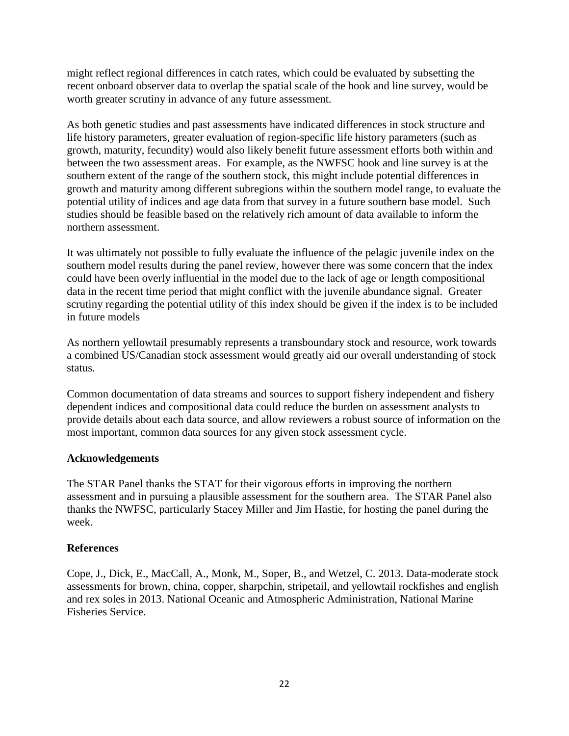might reflect regional differences in catch rates, which could be evaluated by subsetting the recent onboard observer data to overlap the spatial scale of the hook and line survey, would be worth greater scrutiny in advance of any future assessment.

As both genetic studies and past assessments have indicated differences in stock structure and life history parameters, greater evaluation of region-specific life history parameters (such as growth, maturity, fecundity) would also likely benefit future assessment efforts both within and between the two assessment areas. For example, as the NWFSC hook and line survey is at the southern extent of the range of the southern stock, this might include potential differences in growth and maturity among different subregions within the southern model range, to evaluate the potential utility of indices and age data from that survey in a future southern base model. Such studies should be feasible based on the relatively rich amount of data available to inform the northern assessment.

It was ultimately not possible to fully evaluate the influence of the pelagic juvenile index on the southern model results during the panel review, however there was some concern that the index could have been overly influential in the model due to the lack of age or length compositional data in the recent time period that might conflict with the juvenile abundance signal. Greater scrutiny regarding the potential utility of this index should be given if the index is to be included in future models

As northern yellowtail presumably represents a transboundary stock and resource, work towards a combined US/Canadian stock assessment would greatly aid our overall understanding of stock status.

Common documentation of data streams and sources to support fishery independent and fishery dependent indices and compositional data could reduce the burden on assessment analysts to provide details about each data source, and allow reviewers a robust source of information on the most important, common data sources for any given stock assessment cycle.

#### **Acknowledgements**

The STAR Panel thanks the STAT for their vigorous efforts in improving the northern assessment and in pursuing a plausible assessment for the southern area. The STAR Panel also thanks the NWFSC, particularly Stacey Miller and Jim Hastie, for hosting the panel during the week.

#### **References**

Cope, J., Dick, E., MacCall, A., Monk, M., Soper, B., and Wetzel, C. 2013. Data-moderate stock assessments for brown, china, copper, sharpchin, stripetail, and yellowtail rockfishes and english and rex soles in 2013. National Oceanic and Atmospheric Administration, National Marine Fisheries Service.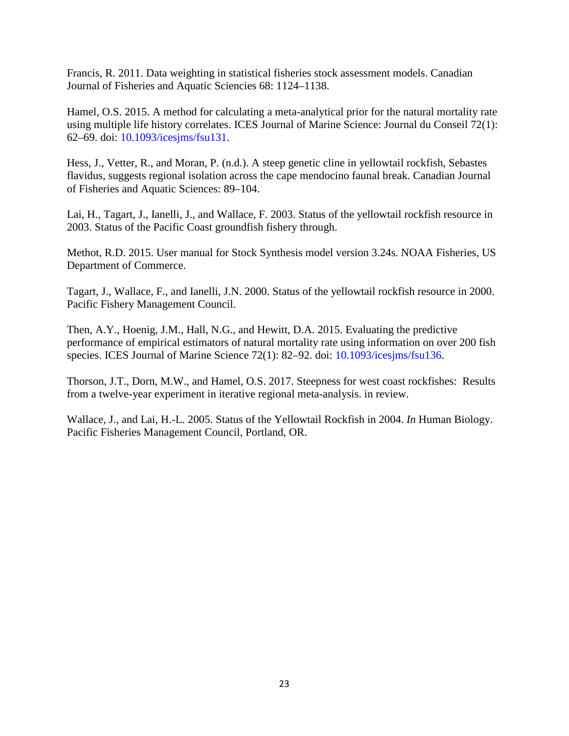Francis, R. 2011. Data weighting in statistical fisheries stock assessment models. Canadian Journal of Fisheries and Aquatic Sciencies 68: 1124–1138.

Hamel, O.S. 2015. A method for calculating a meta-analytical prior for the natural mortality rate using multiple life history correlates. ICES Journal of Marine Science: Journal du Conseil 72(1): 62–69. doi: 10.1093/icesjms/fsu131.

Hess, J., Vetter, R., and Moran, P. (n.d.). A steep genetic cline in yellowtail rockfish, Sebastes flavidus, suggests regional isolation across the cape mendocino faunal break. Canadian Journal of Fisheries and Aquatic Sciences: 89–104.

Lai, H., Tagart, J., Ianelli, J., and Wallace, F. 2003. Status of the yellowtail rockfish resource in 2003. Status of the Pacific Coast groundfish fishery through.

Methot, R.D. 2015. User manual for Stock Synthesis model version 3.24s. NOAA Fisheries, US Department of Commerce.

Tagart, J., Wallace, F., and Ianelli, J.N. 2000. Status of the yellowtail rockfish resource in 2000. Pacific Fishery Management Council.

Then, A.Y., Hoenig, J.M., Hall, N.G., and Hewitt, D.A. 2015. Evaluating the predictive performance of empirical estimators of natural mortality rate using information on over 200 fish species. ICES Journal of Marine Science 72(1): 82–92. doi: 10.1093/icesjms/fsu136.

Thorson, J.T., Dorn, M.W., and Hamel, O.S. 2017. Steepness for west coast rockfishes: Results from a twelve-year experiment in iterative regional meta-analysis. in review.

Wallace, J., and Lai, H.-L. 2005. Status of the Yellowtail Rockfish in 2004. *In* Human Biology. Pacific Fisheries Management Council, Portland, OR.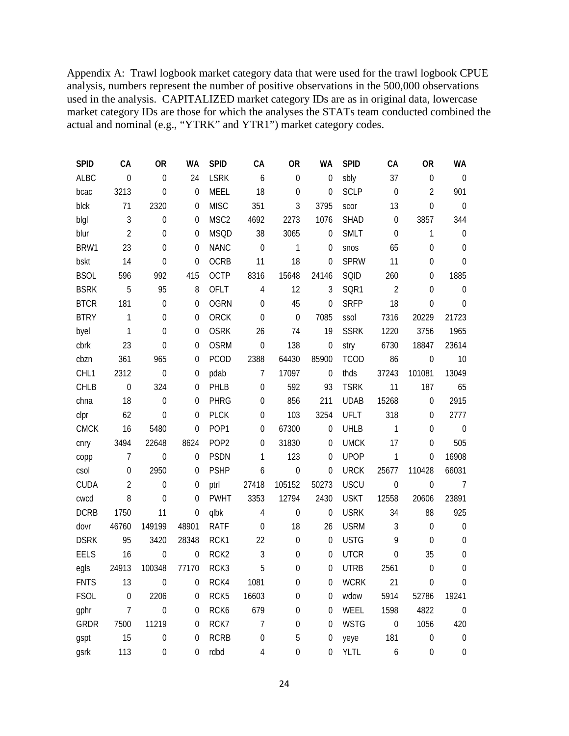Appendix A: Trawl logbook market category data that were used for the trawl logbook CPUE analysis, numbers represent the number of positive observations in the 500,000 observations used in the analysis. CAPITALIZED market category IDs are as in original data, lowercase market category IDs are those for which the analyses the STATs team conducted combined the actual and nominal (e.g., "YTRK" and YTR1") market category codes.

| <b>SPID</b> | CA               | <b>OR</b>        | <b>WA</b>        | <b>SPID</b>      | CA               | <b>OR</b>        | <b>WA</b>        | <b>SPID</b> | CA               | <b>OR</b>        | WA               |
|-------------|------------------|------------------|------------------|------------------|------------------|------------------|------------------|-------------|------------------|------------------|------------------|
| <b>ALBC</b> | $\mathbf 0$      | $\mathbf 0$      | 24               | <b>LSRK</b>      | 6                | $\boldsymbol{0}$ | $\boldsymbol{0}$ | sbly        | 37               | $\boldsymbol{0}$ | $\mathbf 0$      |
| bcac        | 3213             | $\mathbf 0$      | $\mathbf 0$      | <b>MEEL</b>      | 18               | $\boldsymbol{0}$ | $\mathbf 0$      | <b>SCLP</b> | $\mathbf 0$      | $\overline{2}$   | 901              |
| blck        | 71               | 2320             | $\boldsymbol{0}$ | <b>MISC</b>      | 351              | 3                | 3795             | scor        | 13               | $\mathbf 0$      | $\boldsymbol{0}$ |
| blgl        | $\mathfrak{Z}$   | $\mathbf 0$      | 0                | MSC <sub>2</sub> | 4692             | 2273             | 1076             | <b>SHAD</b> | $\boldsymbol{0}$ | 3857             | 344              |
| blur        | $\overline{2}$   | $\mathbf 0$      | $\boldsymbol{0}$ | <b>MSQD</b>      | 38               | 3065             | $\boldsymbol{0}$ | <b>SMLT</b> | $\mathbf 0$      | $\mathbf{1}$     | $\boldsymbol{0}$ |
| BRW1        | 23               | $\mathbf 0$      | 0                | <b>NANC</b>      | $\mathbf 0$      | 1                | 0                | snos        | 65               | $\boldsymbol{0}$ | $\boldsymbol{0}$ |
| bskt        | 14               | $\mathbf 0$      | $\boldsymbol{0}$ | <b>OCRB</b>      | 11               | 18               | $\boldsymbol{0}$ | <b>SPRW</b> | 11               | $\boldsymbol{0}$ | $\mathbf 0$      |
| <b>BSOL</b> | 596              | 992              | 415              | <b>OCTP</b>      | 8316             | 15648            | 24146            | SQID        | 260              | $\boldsymbol{0}$ | 1885             |
| <b>BSRK</b> | 5                | 95               | 8                | OFLT             | $\overline{4}$   | 12               | 3                | SQR1        | $\overline{2}$   | $\boldsymbol{0}$ | $\boldsymbol{0}$ |
| <b>BTCR</b> | 181              | $\mathbf 0$      | 0                | <b>OGRN</b>      | $\mathbf 0$      | 45               | $\mathbf 0$      | <b>SRFP</b> | 18               | $\mathbf 0$      | $\mathbf 0$      |
| <b>BTRY</b> | 1                | $\mathbf 0$      | $\boldsymbol{0}$ | ORCK             | $\mathbf 0$      | $\boldsymbol{0}$ | 7085             | ssol        | 7316             | 20229            | 21723            |
| byel        | 1                | $\mathbf 0$      | $\mathbf 0$      | <b>OSRK</b>      | 26               | 74               | 19               | <b>SSRK</b> | 1220             | 3756             | 1965             |
| cbrk        | 23               | $\mathbf 0$      | $\boldsymbol{0}$ | <b>OSRM</b>      | $\mathbf 0$      | 138              | $\boldsymbol{0}$ | stry        | 6730             | 18847            | 23614            |
| cbzn        | 361              | 965              | 0                | <b>PCOD</b>      | 2388             | 64430            | 85900            | <b>TCOD</b> | 86               | $\mathbf 0$      | 10               |
| CHL1        | 2312             | $\mathbf 0$      | $\boldsymbol{0}$ | pdab             | $\overline{7}$   | 17097            | $\mathbf 0$      | thds        | 37243            | 101081           | 13049            |
| <b>CHLB</b> | $\mathbf 0$      | 324              | 0                | PHLB             | $\mathbf 0$      | 592              | 93               | <b>TSRK</b> | 11               | 187              | 65               |
| chna        | 18               | $\mathbf 0$      | 0                | <b>PHRG</b>      | $\mathbf 0$      | 856              | 211              | <b>UDAB</b> | 15268            | $\mathbf 0$      | 2915             |
| clpr        | 62               | $\mathbf 0$      | 0                | <b>PLCK</b>      | $\mathbf 0$      | 103              | 3254             | <b>UFLT</b> | 318              | $\mathbf 0$      | 2777             |
| <b>CMCK</b> | 16               | 5480             | $\mathbf 0$      | POP1             | $\mathbf 0$      | 67300            | $\boldsymbol{0}$ | UHLB        | $\mathbf{1}$     | $\mathbf 0$      | $\boldsymbol{0}$ |
| cnry        | 3494             | 22648            | 8624             | POP <sub>2</sub> | $\mathbf 0$      | 31830            | $\mathbf 0$      | <b>UMCK</b> | 17               | $\boldsymbol{0}$ | 505              |
| copp        | $\overline{7}$   | $\mathbf 0$      | $\boldsymbol{0}$ | <b>PSDN</b>      | 1                | 123              | 0                | <b>UPOP</b> | 1                | $\boldsymbol{0}$ | 16908            |
| csol        | 0                | 2950             | 0                | <b>PSHP</b>      | 6                | $\boldsymbol{0}$ | $\mathbf 0$      | <b>URCK</b> | 25677            | 110428           | 66031            |
| <b>CUDA</b> | $\overline{2}$   | $\mathbf 0$      | $\boldsymbol{0}$ | ptrl             | 27418            | 105152           | 50273            | <b>USCU</b> | $\boldsymbol{0}$ | $\boldsymbol{0}$ | $7\overline{ }$  |
| cwcd        | 8                | $\mathbf 0$      | 0                | <b>PWHT</b>      | 3353             | 12794            | 2430             | <b>USKT</b> | 12558            | 20606            | 23891            |
| <b>DCRB</b> | 1750             | 11               | $\boldsymbol{0}$ | qlbk             | $\overline{4}$   | $\boldsymbol{0}$ | $\boldsymbol{0}$ | <b>USRK</b> | 34               | 88               | 925              |
| dovr        | 46760            | 149199           | 48901            | <b>RATF</b>      | $\mathbf 0$      | 18               | 26               | <b>USRM</b> | $\mathfrak{Z}$   | $\boldsymbol{0}$ | $\boldsymbol{0}$ |
| <b>DSRK</b> | 95               | 3420             | 28348            | RCK1             | 22               | $\boldsymbol{0}$ | $\boldsymbol{0}$ | <b>USTG</b> | 9                | $\boldsymbol{0}$ | $\boldsymbol{0}$ |
| <b>EELS</b> | 16               | $\mathbf 0$      | $\boldsymbol{0}$ | RCK <sub>2</sub> | $\mathfrak{Z}$   | 0                | $\mathbf 0$      | <b>UTCR</b> | $\boldsymbol{0}$ | 35               | $\boldsymbol{0}$ |
| egls        | 24913            | 100348           | 77170            | RCK3             | 5                | 0                | 0                | <b>UTRB</b> | 2561             | $\boldsymbol{0}$ | $\boldsymbol{0}$ |
| <b>FNTS</b> | 13               | $\mathbf 0$      | 0                | RCK4             | 1081             | 0                | 0                | <b>WCRK</b> | 21               | $\mathbf 0$      | $\mathbf 0$      |
| <b>FSOL</b> | $\boldsymbol{0}$ | 2206             | 0                | RCK <sub>5</sub> | 16603            | 0                | 0                | wdow        | 5914             | 52786            | 19241            |
| gphr        | 7                | $\boldsymbol{0}$ | 0                | RCK6             | 679              | 0                | 0                | WEEL        | 1598             | 4822             | $\boldsymbol{0}$ |
| <b>GRDR</b> | 7500             | 11219            | 0                | RCK7             | $\overline{7}$   | 0                | $\mathbf 0$      | <b>WSTG</b> | $\boldsymbol{0}$ | 1056             | 420              |
| gspt        | 15               | $\boldsymbol{0}$ | 0                | <b>RCRB</b>      | $\boldsymbol{0}$ | 5                | 0                | yeye        | 181              | $\boldsymbol{0}$ | 0                |
| gsrk        | 113              | $\boldsymbol{0}$ | 0                | rdbd             | 4                | $\boldsymbol{0}$ | $\boldsymbol{0}$ | <b>YLTL</b> | 6                | $\boldsymbol{0}$ | $\boldsymbol{0}$ |